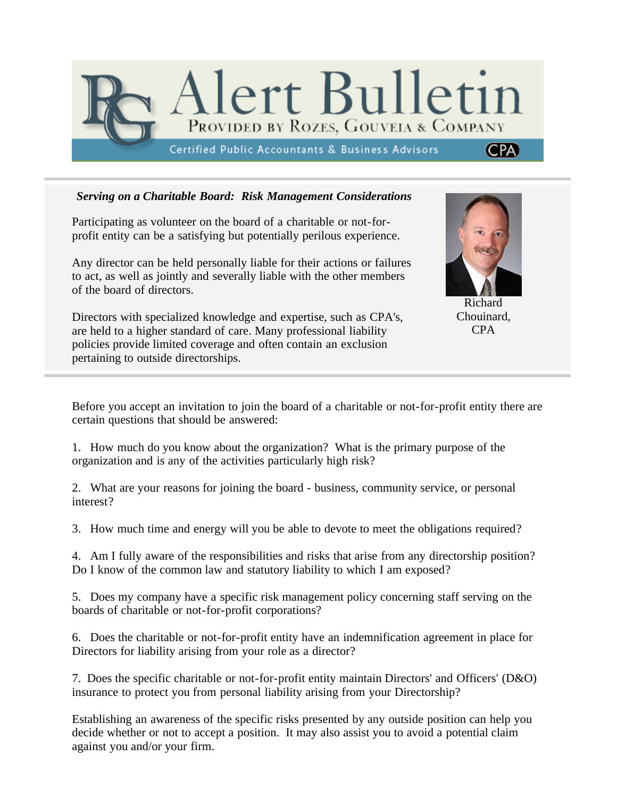

## *Serving on a Charitable Board: Risk Management Considerations*

Participating as volunteer on the board of a charitable or not-forprofit entity can be a satisfying but potentially perilous experience.

Any director can be held personally liable for their actions or failures to act, as well as jointly and severally liable with the other members of the board of directors.

Directors with specialized knowledge and expertise, such as CPA's, are held to a higher standard of care. Many professional liability policies provide limited coverage and often contain an exclusion pertaining to outside directorships.



Richard Chouinard, CPA

Before you accept an invitation to join the board of a charitable or not-for-profit entity there are certain questions that should be answered:

1. How much do you know about the organization? What is the primary purpose of the organization and is any of the activities particularly high risk?

2. What are your reasons for joining the board - business, community service, or personal interest?

3. How much time and energy will you be able to devote to meet the obligations required?

4. Am I fully aware of the responsibilities and risks that arise from any directorship position? Do I know of the common law and statutory liability to which I am exposed?

5. Does my company have a specific risk management policy concerning staff serving on the boards of charitable or not-for-profit corporations?

6. Does the charitable or not-for-profit entity have an indemnification agreement in place for Directors for liability arising from your role as a director?

7. Does the specific charitable or not-for-profit entity maintain Directors' and Officers' (D&O) insurance to protect you from personal liability arising from your Directorship?

Establishing an awareness of the specific risks presented by any outside position can help you decide whether or not to accept a position. It may also assist you to avoid a potential claim against you and/or your firm.